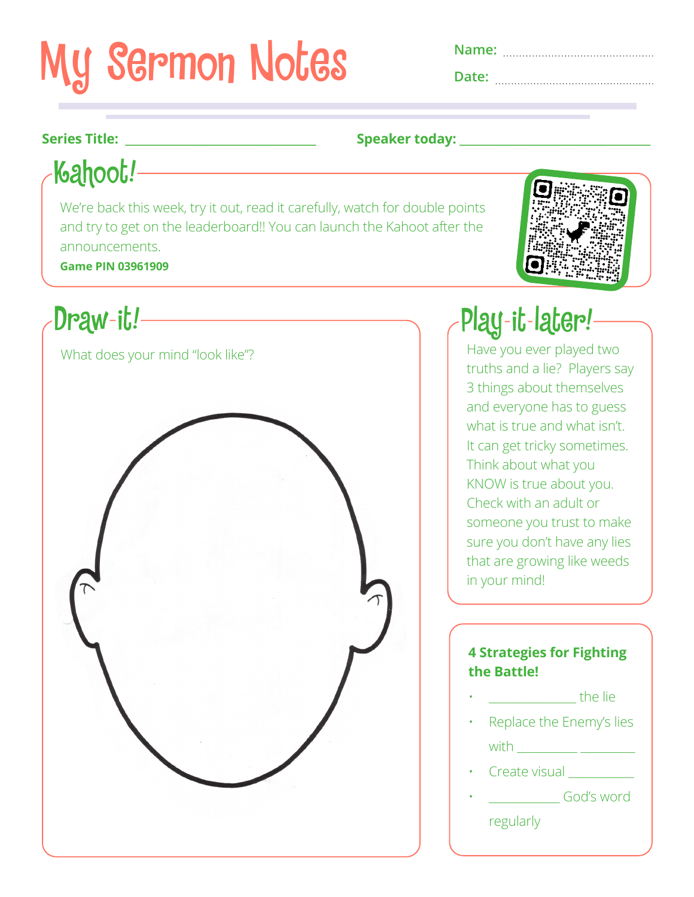# **My Sermon Notes**

**Date:** 

## **Series Title: Series Title: Speaker today: Speaker today: Speaker today: Speaker today: Speaker today: Speaker today: Speaker today: Speaker today: Speaker today: Speaker today: Speaker today: Sp**

Kahoot!

We're back this week, try it out, read it carefully, watch for double points and try to get on the leaderboard!! You can launch the Kahoot after the announcements.

**Game PIN 03961909**





Have you ever played two truths and a lie? Players say 3 things about themselves and everyone has to guess what is true and what isn't. It can get tricky sometimes. Think about what you KNOW is true about you. Check with an adult or someone you trust to make sure you don't have any lies that are growing like weeds in your mind!

### **4 Strategies for Fighting the Battle!**

• \_\_\_\_\_\_\_\_\_\_\_\_\_\_\_\_ the lie

• Replace the Enemy's lies  $with \_\_\_\_\_\_\_\_\_$ 

- Create visual
- God's word

regularly